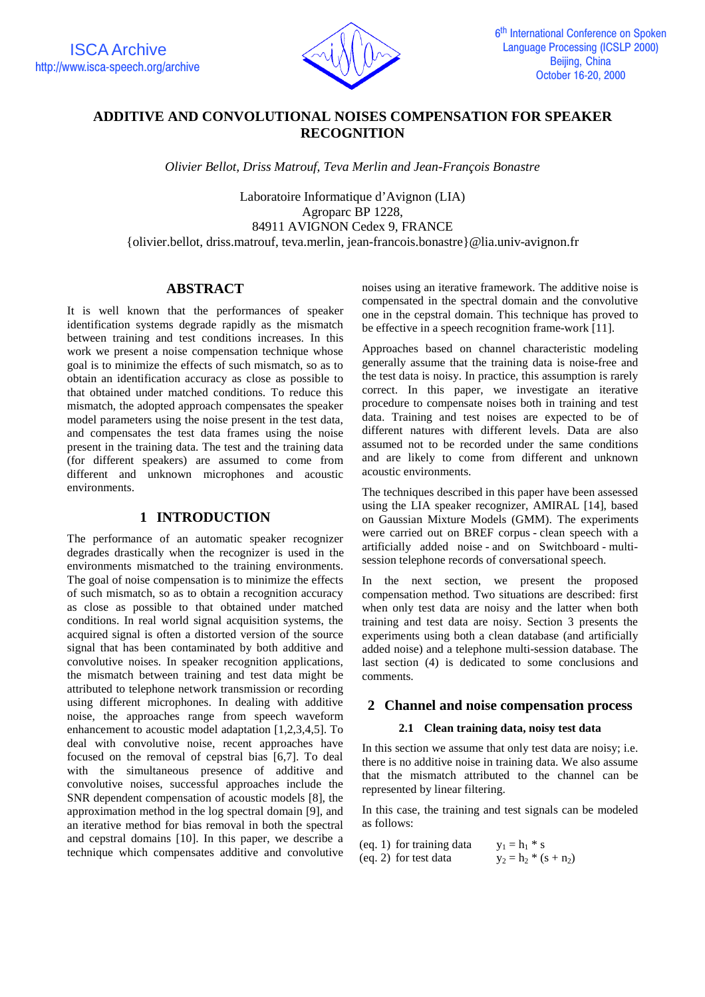

# **ADDITIVE AND CONVOLUTIONAL NOISES COMPENSATION FOR SPEAKER RECOGNITION**

*Olivier Bellot, Driss Matrouf, Teva Merlin and Jean-François Bonastre*

Laboratoire Informatique d'Avignon (LIA) Agroparc BP 1228, 84911 AVIGNON Cedex 9, FRANCE {olivier.bellot, driss.matrouf, teva.merlin, jean-francois.bonastre}@lia.univ-avignon.fr

## **ABSTRACT**

It is well known that the performances of speaker identification systems degrade rapidly as the mismatch between training and test conditions increases. In this work we present a noise compensation technique whose goal is to minimize the effects of such mismatch, so as to obtain an identification accuracy as close as possible to that obtained under matched conditions. To reduce this mismatch, the adopted approach compensates the speaker model parameters using the noise present in the test data, and compensates the test data frames using the noise present in the training data. The test and the training data (for different speakers) are assumed to come from different and unknown microphones and acoustic environments.

## **1 INTRODUCTION**

The performance of an automatic speaker recognizer degrades drastically when the recognizer is used in the environments mismatched to the training environments. The goal of noise compensation is to minimize the effects of such mismatch, so as to obtain a recognition accuracy as close as possible to that obtained under matched conditions. In real world signal acquisition systems, the acquired signal is often a distorted version of the source signal that has been contaminated by both additive and convolutive noises. In speaker recognition applications, the mismatch between training and test data might be attributed to telephone network transmission or recording using different microphones. In dealing with additive noise, the approaches range from speech waveform enhancement to acoustic model adaptation [1,2,3,4,5]. To deal with convolutive noise, recent approaches have focused on the removal of cepstral bias [6,7]. To deal with the simultaneous presence of additive and convolutive noises, successful approaches include the SNR dependent compensation of acoustic models [8], the approximation method in the log spectral domain [9], and an iterative method for bias removal in both the spectral and cepstral domains [10]. In this paper, we describe a technique which compensates additive and convolutive noises using an iterative framework. The additive noise is compensated in the spectral domain and the convolutive one in the cepstral domain. This technique has proved to be effective in a speech recognition frame-work [11].

Approaches based on channel characteristic modeling generally assume that the training data is noise-free and the test data is noisy. In practice, this assumption is rarely correct. In this paper, we investigate an iterative procedure to compensate noises both in training and test data. Training and test noises are expected to be of different natures with different levels. Data are also assumed not to be recorded under the same conditions and are likely to come from different and unknown acoustic environments.

The techniques described in this paper have been assessed using the LIA speaker recognizer, AMIRAL [14], based on Gaussian Mixture Models (GMM). The experiments were carried out on BREF corpus - clean speech with a artificially added noise - and on Switchboard - multisession telephone records of conversational speech.

In the next section, we present the proposed compensation method. Two situations are described: first when only test data are noisy and the latter when both training and test data are noisy. Section 3 presents the experiments using both a clean database (and artificially added noise) and a telephone multi-session database. The last section (4) is dedicated to some conclusions and comments.

### **2 Channel and noise compensation process**

### **2.1 Clean training data, noisy test data**

In this section we assume that only test data are noisy; i.e. there is no additive noise in training data. We also assume that the mismatch attributed to the channel can be represented by linear filtering.

In this case, the training and test signals can be modeled as follows:

| (eq. 1) for training data | $y_1 = h_1 * s$         |
|---------------------------|-------------------------|
| $(eq. 2)$ for test data   | $y_2 = h_2 * (s + n_2)$ |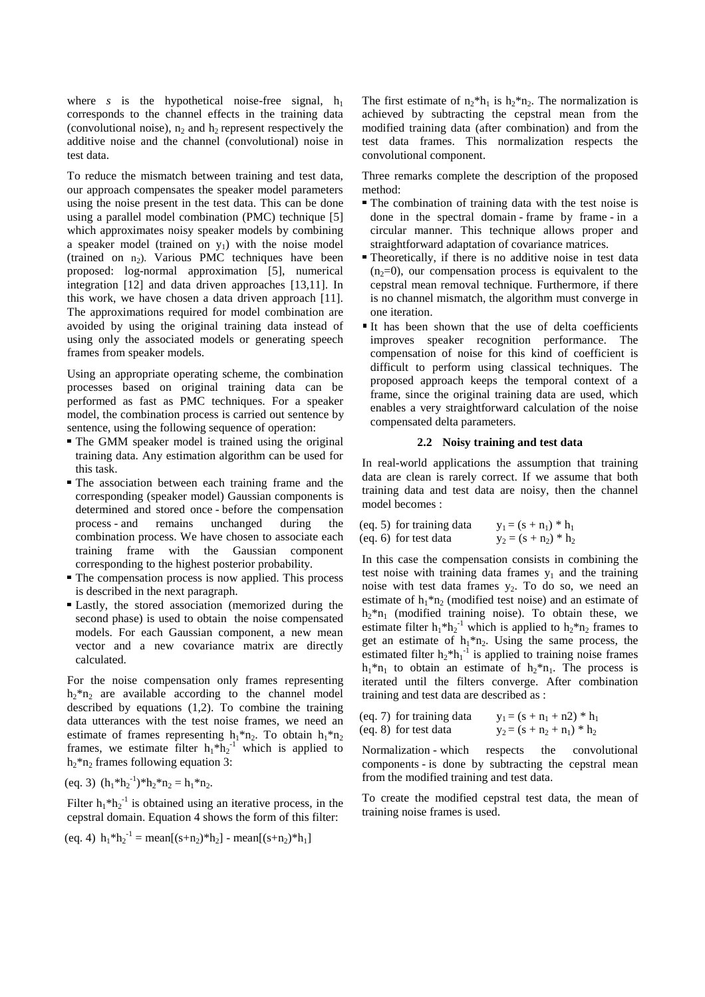where *s* is the hypothetical noise-free signal,  $h_1$ corresponds to the channel effects in the training data (convolutional noise),  $n_2$  and  $h_2$  represent respectively the additive noise and the channel (convolutional) noise in test data.

To reduce the mismatch between training and test data, our approach compensates the speaker model parameters using the noise present in the test data. This can be done using a parallel model combination (PMC) technique [5] which approximates noisy speaker models by combining a speaker model (trained on  $y_1$ ) with the noise model (trained on  $n_2$ ). Various PMC techniques have been proposed: log-normal approximation [5], numerical integration [12] and data driven approaches [13,11]. In this work, we have chosen a data driven approach [11]. The approximations required for model combination are avoided by using the original training data instead of using only the associated models or generating speech frames from speaker models.

Using an appropriate operating scheme, the combination processes based on original training data can be performed as fast as PMC techniques. For a speaker model, the combination process is carried out sentence by sentence, using the following sequence of operation:

- The GMM speaker model is trained using the original training data. Any estimation algorithm can be used for this task.
- The association between each training frame and the corresponding (speaker model) Gaussian components is determined and stored once - before the compensation process - and remains unchanged during the combination process. We have chosen to associate each training frame with the Gaussian component corresponding to the highest posterior probability.
- The compensation process is now applied. This process is described in the next paragraph.
- Lastly, the stored association (memorized during the second phase) is used to obtain the noise compensated models. For each Gaussian component, a new mean vector and a new covariance matrix are directly calculated.

For the noise compensation only frames representing  $h_2^*n_2$  are available according to the channel model described by equations (1,2). To combine the training data utterances with the test noise frames, we need an estimate of frames representing  $h_1 * n_2$ . To obtain  $h_1 * n_2$ frames, we estimate filter  $h_1 * h_2^{-1}$  which is applied to  $h_2$ <sup>\*</sup>n<sub>2</sub> frames following equation 3:

$$
(eq. 3) (h_1 * h_2^{-1}) * h_2 * n_2 = h_1 * n_2.
$$

Filter  $h_1 * h_2^{-1}$  is obtained using an iterative process, in the cepstral domain. Equation 4 shows the form of this filter:

(eq. 4) 
$$
h_1 * h_2^{-1} = \text{mean}[(s+n_2) * h_2] - \text{mean}[(s+n_2) * h_1]
$$

The first estimate of  $n_2 * h_1$  is  $h_2 * n_2$ . The normalization is achieved by subtracting the cepstral mean from the modified training data (after combination) and from the test data frames. This normalization respects the convolutional component.

Three remarks complete the description of the proposed method:

- The combination of training data with the test noise is done in the spectral domain - frame by frame - in a circular manner. This technique allows proper and straightforward adaptation of covariance matrices.
- Theoretically, if there is no additive noise in test data  $(n<sub>2</sub>=0)$ , our compensation process is equivalent to the cepstral mean removal technique. Furthermore, if there is no channel mismatch, the algorithm must converge in one iteration.
- It has been shown that the use of delta coefficients improves speaker recognition performance. The compensation of noise for this kind of coefficient is difficult to perform using classical techniques. The proposed approach keeps the temporal context of a frame, since the original training data are used, which enables a very straightforward calculation of the noise compensated delta parameters.

#### **2.2 Noisy training and test data**

In real-world applications the assumption that training data are clean is rarely correct. If we assume that both training data and test data are noisy, then the channel model becomes :

| (eq. 5) for training data | $y_1 = (s + n_1) * h_1$ |  |
|---------------------------|-------------------------|--|
| (eq. 6) for test data     | $y_2 = (s + n_2) * h_2$ |  |

In this case the compensation consists in combining the test noise with training data frames  $y_1$  and the training noise with test data frames  $y_2$ . To do so, we need an estimate of  $h_1 * n_2$  (modified test noise) and an estimate of  $h_2 * n_1$  (modified training noise). To obtain these, we estimate filter  $h_1 * h_2^{-1}$  which is applied to  $h_2 * n_2$  frames to get an estimate of  $h_1^*n_2$ . Using the same process, the estimated filter  $h_2$ <sup>\*</sup> $h_1$ <sup>-1</sup> is applied to training noise frames  $h_1 * n_1$  to obtain an estimate of  $h_2 * n_1$ . The process is iterated until the filters converge. After combination training and test data are described as :

$$
\begin{array}{ll}\n\text{(eq. 7) for training data} & y_1 = (s + n_1 + n2) * h_1 \\
\text{(eq. 8) for test data} & y_2 = (s + n_2 + n_1) * h_2\n\end{array}
$$

Normalization - which respects the convolutional components - is done by subtracting the cepstral mean from the modified training and test data.

To create the modified cepstral test data, the mean of training noise frames is used.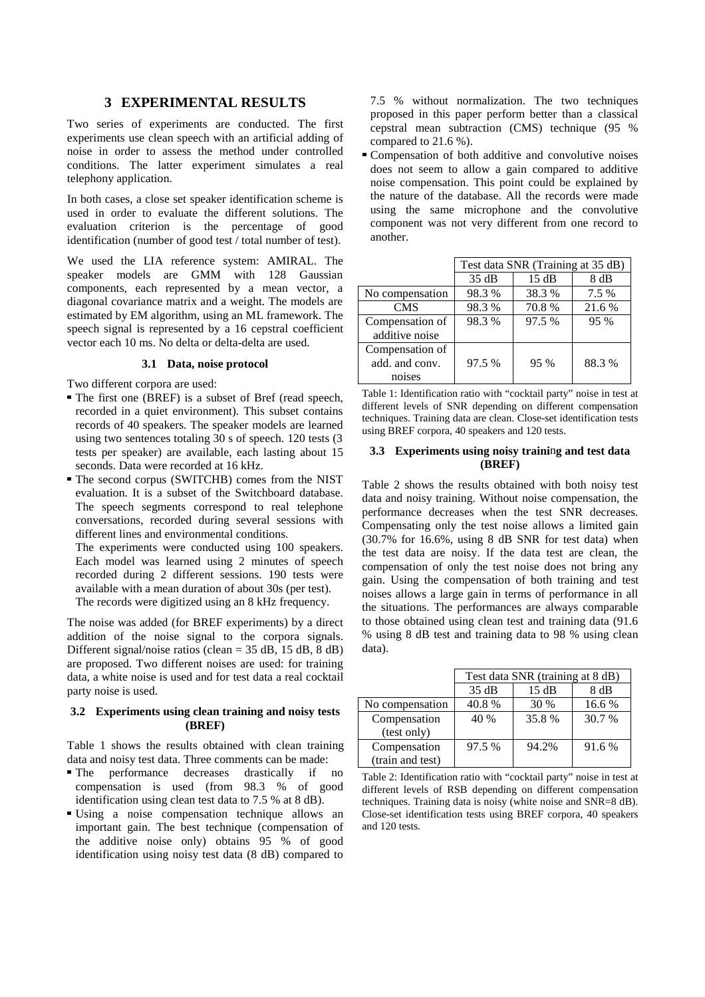## **3 EXPERIMENTAL RESULTS**

Two series of experiments are conducted. The first experiments use clean speech with an artificial adding of noise in order to assess the method under controlled conditions. The latter experiment simulates a real telephony application.

In both cases, a close set speaker identification scheme is used in order to evaluate the different solutions. The evaluation criterion is the percentage of good identification (number of good test / total number of test).

We used the LIA reference system: AMIRAL. The speaker models are GMM with 128 Gaussian components, each represented by a mean vector, a diagonal covariance matrix and a weight. The models are estimated by EM algorithm, using an ML framework. The speech signal is represented by a 16 cepstral coefficient vector each 10 ms. No delta or delta-delta are used.

#### **3.1 Data, noise protocol**

Two different corpora are used:

- The first one (BREF) is a subset of Bref (read speech, recorded in a quiet environment). This subset contains records of 40 speakers. The speaker models are learned using two sentences totaling 30 s of speech. 120 tests (3 tests per speaker) are available, each lasting about 15 seconds. Data were recorded at 16 kHz.
- The second corpus (SWITCHB) comes from the NIST evaluation. It is a subset of the Switchboard database. The speech segments correspond to real telephone conversations, recorded during several sessions with different lines and environmental conditions.

The experiments were conducted using 100 speakers. Each model was learned using 2 minutes of speech recorded during 2 different sessions. 190 tests were available with a mean duration of about 30s (per test). The records were digitized using an 8 kHz frequency.

The noise was added (for BREF experiments) by a direct addition of the noise signal to the corpora signals. Different signal/noise ratios (clean = 35 dB, 15 dB, 8 dB) are proposed. Two different noises are used: for training data, a white noise is used and for test data a real cocktail party noise is used.

#### **3.2 Experiments using clean training and noisy tests (BREF)**

Table 1 shows the results obtained with clean training data and noisy test data. Three comments can be made:

- The performance decreases drastically if no compensation is used (from 98.3 % of good identification using clean test data to 7.5 % at 8 dB).
- Using a noise compensation technique allows an important gain. The best technique (compensation of the additive noise only) obtains 95 % of good identification using noisy test data (8 dB) compared to

7.5 % without normalization. The two techniques proposed in this paper perform better than a classical cepstral mean subtraction (CMS) technique (95 % compared to 21.6 %).

 Compensation of both additive and convolutive noises does not seem to allow a gain compared to additive noise compensation. This point could be explained by the nature of the database. All the records were made using the same microphone and the convolutive component was not very different from one record to another.

|                 | Test data SNR (Training at 35 dB) |        |        |
|-----------------|-----------------------------------|--------|--------|
|                 | 35 dB                             | 15 dB  | 8 dB   |
| No compensation | 98.3%                             | 38.3 % | 7.5 %  |
| <b>CMS</b>      | 98.3%                             | 70.8%  | 21.6 % |
| Compensation of | 98.3 %                            | 97.5 % | 95 %   |
| additive noise  |                                   |        |        |
| Compensation of |                                   |        |        |
| add, and conv.  | 97.5 %                            | 95 %   | 88.3%  |
| noises          |                                   |        |        |

Table 1: Identification ratio with "cocktail party" noise in test at different levels of SNR depending on different compensation techniques. Training data are clean. Close-set identification tests using BREF corpora, 40 speakers and 120 tests.

#### **3.3 Experiments using noisy traini**n**g and test data (BREF)**

Table 2 shows the results obtained with both noisy test data and noisy training. Without noise compensation, the performance decreases when the test SNR decreases. Compensating only the test noise allows a limited gain (30.7% for 16.6%, using 8 dB SNR for test data) when the test data are noisy. If the data test are clean, the compensation of only the test noise does not bring any gain. Using the compensation of both training and test noises allows a large gain in terms of performance in all the situations. The performances are always comparable to those obtained using clean test and training data (91.6 % using 8 dB test and training data to 98 % using clean data).

|                  | Test data SNR (training at 8 dB) |       |        |
|------------------|----------------------------------|-------|--------|
|                  | 35 dB                            | 15 dB | 8 dB   |
| No compensation  | 40.8%                            | 30 %  | 16.6 % |
| Compensation     | 40 %                             | 35.8% | 30.7 % |
| (test only)      |                                  |       |        |
| Compensation     | 97.5 %                           | 94.2% | 91.6 % |
| (train and test) |                                  |       |        |

Table 2: Identification ratio with "cocktail party" noise in test at different levels of RSB depending on different compensation techniques. Training data is noisy (white noise and SNR=8 dB). Close-set identification tests using BREF corpora, 40 speakers and 120 tests.